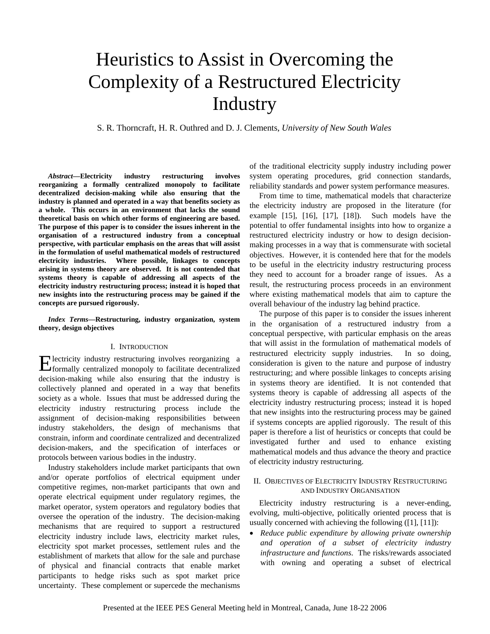# Heuristics to Assist in Overcoming the Complexity of a Restructured Electricity Industry

S. R. Thorncraft, H. R. Outhred and D. J. Clements, *University of New South Wales*

*Abstract***—Electricity industry restructuring involves reorganizing a formally centralized monopoly to facilitate decentralized decision-making while also ensuring that the industry is planned and operated in a way that benefits society as a whole. This occurs in an environment that lacks the sound theoretical basis on which other forms of engineering are based. The purpose of this paper is to consider the issues inherent in the organisation of a restructured industry from a conceptual perspective, with particular emphasis on the areas that will assist in the formulation of useful mathematical models of restructured electricity industries. Where possible, linkages to concepts arising in systems theory are observed. It is not contended that systems theory is capable of addressing all aspects of the electricity industry restructuring process; instead it is hoped that new insights into the restructuring process may be gained if the concepts are pursued rigorously.** 

*Index Terms***—Restructuring, industry organization, system theory, design objectives** 

### I. INTRODUCTION

lectricity industry restructuring involves reorganizing a Electricity industry restructuring involves reorganizing a formally centralized monopoly to facilitate decentralized decision-making while also ensuring that the industry is collectively planned and operated in a way that benefits society as a whole. Issues that must be addressed during the electricity industry restructuring process include the assignment of decision-making responsibilities between industry stakeholders, the design of mechanisms that constrain, inform and coordinate centralized and decentralized decision-makers, and the specification of interfaces or protocols between various bodies in the industry.

Industry stakeholders include market participants that own and/or operate portfolios of electrical equipment under competitive regimes, non-market participants that own and operate electrical equipment under regulatory regimes, the market operator, system operators and regulatory bodies that oversee the operation of the industry. The decision-making mechanisms that are required to support a restructured electricity industry include laws, electricity market rules, electricity spot market processes, settlement rules and the establishment of markets that allow for the sale and purchase of physical and financial contracts that enable market participants to hedge risks such as spot market price uncertainty. These complement or supercede the mechanisms

of the traditional electricity supply industry including power system operating procedures, grid connection standards, reliability standards and power system performance measures.

From time to time, mathematical models that characterize the electricity industry are proposed in the literature (for example  $[15]$ ,  $[16]$ ,  $[17]$ ,  $[18]$ ). Such models have the potential to offer fundamental insights into how to organize a restructured electricity industry or how to design decisionmaking processes in a way that is commensurate with societal objectives. However, it is contended here that for the models to be useful in the electricity industry restructuring process they need to account for a broader range of issues. As a result, the restructuring process proceeds in an environment where existing mathematical models that aim to capture the overall behaviour of the industry lag behind practice.

The purpose of this paper is to consider the issues inherent in the organisation of a restructured industry from a conceptual perspective, with particular emphasis on the areas that will assist in the formulation of mathematical models of restructured electricity supply industries. In so doing, consideration is given to the nature and purpose of industry restructuring; and where possible linkages to concepts arising in systems theory are identified. It is not contended that systems theory is capable of addressing all aspects of the electricity industry restructuring process; instead it is hoped that new insights into the restructuring process may be gained if systems concepts are applied rigorously. The result of this paper is therefore a list of heuristics or concepts that could be investigated further and used to enhance existing mathematical models and thus advance the theory and practice of electricity industry restructuring.

## II. OBJECTIVES OF ELECTRICITY INDUSTRY RESTRUCTURING AND INDUSTRY ORGANISATION

Electricity industry restructuring is a never-ending, evolving, multi-objective, politically oriented process that is usually concerned with achieving the following ([1], [11]):

• *Reduce public expenditure by allowing private ownership and operation of a subset of electricity industry infrastructure and functions*. The risks/rewards associated with owning and operating a subset of electrical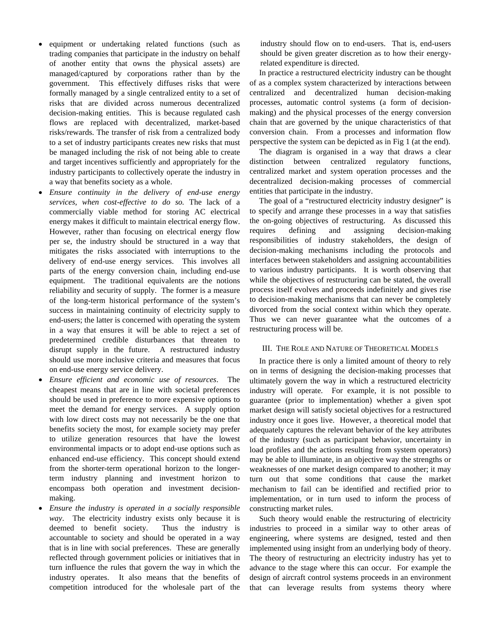- equipment or undertaking related functions (such as trading companies that participate in the industry on behalf of another entity that owns the physical assets) are managed/captured by corporations rather than by the government. This effectively diffuses risks that were formally managed by a single centralized entity to a set of risks that are divided across numerous decentralized decision-making entities. This is because regulated cash flows are replaced with decentralized, market-based risks/rewards. The transfer of risk from a centralized body to a set of industry participants creates new risks that must be managed including the risk of not being able to create and target incentives sufficiently and appropriately for the industry participants to collectively operate the industry in a way that benefits society as a whole.
- *Ensure continuity in the delivery of end-use energy services, when cost-effective to do so.* The lack of a commercially viable method for storing AC electrical energy makes it difficult to maintain electrical energy flow. However, rather than focusing on electrical energy flow per se, the industry should be structured in a way that mitigates the risks associated with interruptions to the delivery of end-use energy services. This involves all parts of the energy conversion chain, including end-use equipment. The traditional equivalents are the notions reliability and security of supply. The former is a measure of the long-term historical performance of the system's success in maintaining continuity of electricity supply to end-users; the latter is concerned with operating the system in a way that ensures it will be able to reject a set of predetermined credible disturbances that threaten to disrupt supply in the future. A restructured industry should use more inclusive criteria and measures that focus on end-use energy service delivery.
- *Ensure efficient and economic use of resources*. The cheapest means that are in line with societal preferences should be used in preference to more expensive options to meet the demand for energy services. A supply option with low direct costs may not necessarily be the one that benefits society the most, for example society may prefer to utilize generation resources that have the lowest environmental impacts or to adopt end-use options such as enhanced end-use efficiency. This concept should extend from the shorter-term operational horizon to the longerterm industry planning and investment horizon to encompass both operation and investment decisionmaking.
- *Ensure the industry is operated in a socially responsible way*. The electricity industry exists only because it is deemed to benefit society. Thus the industry is accountable to society and should be operated in a way that is in line with social preferences. These are generally reflected through government policies or initiatives that in turn influence the rules that govern the way in which the industry operates. It also means that the benefits of competition introduced for the wholesale part of the

industry should flow on to end-users. That is, end-users should be given greater discretion as to how their energyrelated expenditure is directed.

In practice a restructured electricity industry can be thought of as a complex system characterized by interactions between centralized and decentralized human decision-making processes, automatic control systems (a form of decisionmaking) and the physical processes of the energy conversion chain that are governed by the unique characteristics of that conversion chain. From a processes and information flow perspective the system can be depicted as in Fig 1 (at the end).

The diagram is organised in a way that draws a clear distinction between centralized regulatory functions, centralized market and system operation processes and the decentralized decision-making processes of commercial entities that participate in the industry.

The goal of a "restructured electricity industry designer" is to specify and arrange these processes in a way that satisfies the on-going objectives of restructuring. As discussed this requires defining and assigning decision-making responsibilities of industry stakeholders, the design of decision-making mechanisms including the protocols and interfaces between stakeholders and assigning accountabilities to various industry participants. It is worth observing that while the objectives of restructuring can be stated, the overall process itself evolves and proceeds indefinitely and gives rise to decision-making mechanisms that can never be completely divorced from the social context within which they operate. Thus we can never guarantee what the outcomes of a restructuring process will be.

### III. THE ROLE AND NATURE OF THEORETICAL MODELS

In practice there is only a limited amount of theory to rely on in terms of designing the decision-making processes that ultimately govern the way in which a restructured electricity industry will operate. For example, it is not possible to guarantee (prior to implementation) whether a given spot market design will satisfy societal objectives for a restructured industry once it goes live. However, a theoretical model that adequately captures the relevant behavior of the key attributes of the industry (such as participant behavior, uncertainty in load profiles and the actions resulting from system operators) may be able to illuminate, in an objective way the strengths or weaknesses of one market design compared to another; it may turn out that some conditions that cause the market mechanism to fail can be identified and rectified prior to implementation, or in turn used to inform the process of constructing market rules.

Such theory would enable the restructuring of electricity industries to proceed in a similar way to other areas of engineering, where systems are designed, tested and then implemented using insight from an underlying body of theory. The theory of restructuring an electricity industry has yet to advance to the stage where this can occur. For example the design of aircraft control systems proceeds in an environment that can leverage results from systems theory where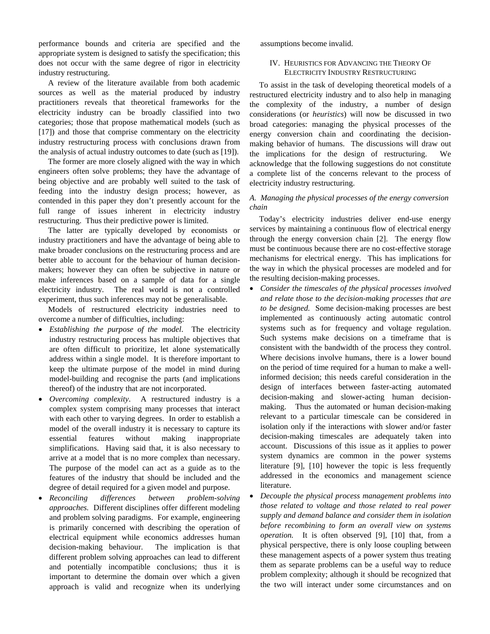performance bounds and criteria are specified and the appropriate system is designed to satisfy the specification; this does not occur with the same degree of rigor in electricity industry restructuring.

A review of the literature available from both academic sources as well as the material produced by industry practitioners reveals that theoretical frameworks for the electricity industry can be broadly classified into two categories; those that propose mathematical models (such as [17]) and those that comprise commentary on the electricity industry restructuring process with conclusions drawn from the analysis of actual industry outcomes to date (such as [19]).

The former are more closely aligned with the way in which engineers often solve problems; they have the advantage of being objective and are probably well suited to the task of feeding into the industry design process; however, as contended in this paper they don't presently account for the full range of issues inherent in electricity industry restructuring. Thus their predictive power is limited.

The latter are typically developed by economists or industry practitioners and have the advantage of being able to make broader conclusions on the restructuring process and are better able to account for the behaviour of human decisionmakers; however they can often be subjective in nature or make inferences based on a sample of data for a single electricity industry. The real world is not a controlled experiment, thus such inferences may not be generalisable.

Models of restructured electricity industries need to overcome a number of difficulties, including:

- *Establishing the purpose of the model*. The electricity industry restructuring process has multiple objectives that are often difficult to prioritize, let alone systematically address within a single model. It is therefore important to keep the ultimate purpose of the model in mind during model-building and recognise the parts (and implications thereof) of the industry that are not incorporated.
- *Overcoming complexity*. A restructured industry is a complex system comprising many processes that interact with each other to varying degrees. In order to establish a model of the overall industry it is necessary to capture its essential features without making inappropriate simplifications. Having said that, it is also necessary to arrive at a model that is no more complex than necessary. The purpose of the model can act as a guide as to the features of the industry that should be included and the degree of detail required for a given model and purpose.
- *Reconciling differences between problem-solving approaches.* Different disciplines offer different modeling and problem solving paradigms. For example, engineering is primarily concerned with describing the operation of electrical equipment while economics addresses human decision-making behaviour. The implication is that different problem solving approaches can lead to different and potentially incompatible conclusions; thus it is important to determine the domain over which a given approach is valid and recognize when its underlying

assumptions become invalid.

# IV. HEURISTICS FOR ADVANCING THE THEORY OF ELECTRICITY INDUSTRY RESTRUCTURING

To assist in the task of developing theoretical models of a restructured electricity industry and to also help in managing the complexity of the industry, a number of design considerations (or *heuristics*) will now be discussed in two broad categories: managing the physical processes of the energy conversion chain and coordinating the decisionmaking behavior of humans. The discussions will draw out the implications for the design of restructuring. We acknowledge that the following suggestions do not constitute a complete list of the concerns relevant to the process of electricity industry restructuring.

# *A. Managing the physical processes of the energy conversion chain*

Today's electricity industries deliver end-use energy services by maintaining a continuous flow of electrical energy through the energy conversion chain [2]. The energy flow must be continuous because there are no cost-effective storage mechanisms for electrical energy. This has implications for the way in which the physical processes are modeled and for the resulting decision-making processes.

- *Consider the timescales of the physical processes involved and relate those to the decision-making processes that are to be designed.* Some decision-making processes are best implemented as continuously acting automatic control systems such as for frequency and voltage regulation. Such systems make decisions on a timeframe that is consistent with the bandwidth of the process they control. Where decisions involve humans, there is a lower bound on the period of time required for a human to make a wellinformed decision; this needs careful consideration in the design of interfaces between faster-acting automated decision-making and slower-acting human decisionmaking. Thus the automated or human decision-making relevant to a particular timescale can be considered in isolation only if the interactions with slower and/or faster decision-making timescales are adequately taken into account. Discussions of this issue as it applies to power system dynamics are common in the power systems literature [9], [10] however the topic is less frequently addressed in the economics and management science literature.
- *Decouple the physical process management problems into those related to voltage and those related to real power supply and demand balance and consider them in isolation before recombining to form an overall view on systems operation.* It is often observed [9], [10] that, from a physical perspective, there is only loose coupling between these management aspects of a power system thus treating them as separate problems can be a useful way to reduce problem complexity; although it should be recognized that the two will interact under some circumstances and on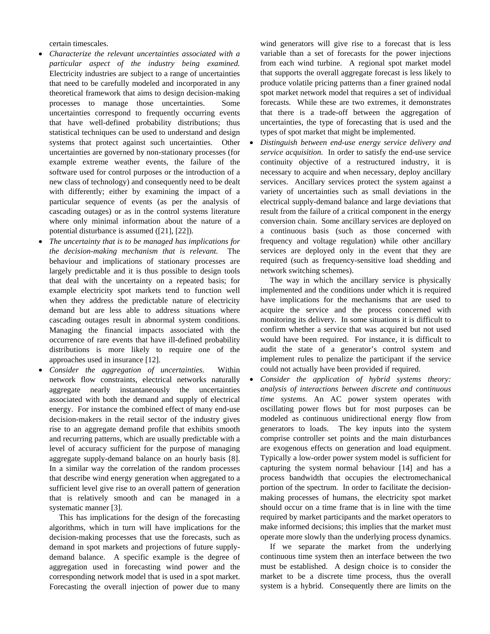certain timescales.

- *Characterize the relevant uncertainties associated with a particular aspect of the industry being examined.* Electricity industries are subject to a range of uncertainties that need to be carefully modeled and incorporated in any theoretical framework that aims to design decision-making processes to manage those uncertainties. Some uncertainties correspond to frequently occurring events that have well-defined probability distributions; thus statistical techniques can be used to understand and design systems that protect against such uncertainties. Other uncertainties are governed by non-stationary processes (for example extreme weather events, the failure of the software used for control purposes or the introduction of a new class of technology) and consequently need to be dealt with differently; either by examining the impact of a particular sequence of events (as per the analysis of cascading outages) or as in the control systems literature where only minimal information about the nature of a potential disturbance is assumed ([21], [22]).
- *The uncertainty that is to be managed has implications for the decision-making mechanism that is relevant.* The behaviour and implications of stationary processes are largely predictable and it is thus possible to design tools that deal with the uncertainty on a repeated basis; for example electricity spot markets tend to function well when they address the predictable nature of electricity demand but are less able to address situations where cascading outages result in abnormal system conditions. Managing the financial impacts associated with the occurrence of rare events that have ill-defined probability distributions is more likely to require one of the approaches used in insurance [12].
- *Consider the aggregation of uncertainties.* Within network flow constraints, electrical networks naturally aggregate nearly instantaneously the uncertainties associated with both the demand and supply of electrical energy. For instance the combined effect of many end-use decision-makers in the retail sector of the industry gives rise to an aggregate demand profile that exhibits smooth and recurring patterns, which are usually predictable with a level of accuracy sufficient for the purpose of managing aggregate supply-demand balance on an hourly basis [8]. In a similar way the correlation of the random processes that describe wind energy generation when aggregated to a sufficient level give rise to an overall pattern of generation that is relatively smooth and can be managed in a systematic manner [3].

This has implications for the design of the forecasting algorithms, which in turn will have implications for the decision-making processes that use the forecasts, such as demand in spot markets and projections of future supplydemand balance. A specific example is the degree of aggregation used in forecasting wind power and the corresponding network model that is used in a spot market. Forecasting the overall injection of power due to many

wind generators will give rise to a forecast that is less variable than a set of forecasts for the power injections from each wind turbine. A regional spot market model that supports the overall aggregate forecast is less likely to produce volatile pricing patterns than a finer grained nodal spot market network model that requires a set of individual forecasts. While these are two extremes, it demonstrates that there is a trade-off between the aggregation of uncertainties, the type of forecasting that is used and the types of spot market that might be implemented.

• *Distinguish between end-use energy service delivery and service acquisition.* In order to satisfy the end-use service continuity objective of a restructured industry, it is necessary to acquire and when necessary, deploy ancillary services. Ancillary services protect the system against a variety of uncertainties such as small deviations in the electrical supply-demand balance and large deviations that result from the failure of a critical component in the energy conversion chain. Some ancillary services are deployed on a continuous basis (such as those concerned with frequency and voltage regulation) while other ancillary services are deployed only in the event that they are required (such as frequency-sensitive load shedding and network switching schemes).

The way in which the ancillary service is physically implemented and the conditions under which it is required have implications for the mechanisms that are used to acquire the service and the process concerned with monitoring its delivery. In some situations it is difficult to confirm whether a service that was acquired but not used would have been required. For instance, it is difficult to audit the state of a generator's control system and implement rules to penalize the participant if the service could not actually have been provided if required.

• *Consider the application of hybrid systems theory: analysis of interactions between discrete and continuous time systems.* An AC power system operates with oscillating power flows but for most purposes can be modeled as continuous unidirectional energy flow from generators to loads. The key inputs into the system comprise controller set points and the main disturbances are exogenous effects on generation and load equipment. Typically a low-order power system model is sufficient for capturing the system normal behaviour [14] and has a process bandwidth that occupies the electromechanical portion of the spectrum. In order to facilitate the decisionmaking processes of humans, the electricity spot market should occur on a time frame that is in line with the time required by market participants and the market operators to make informed decisions; this implies that the market must operate more slowly than the underlying process dynamics.

If we separate the market from the underlying continuous time system then an interface between the two must be established. A design choice is to consider the market to be a discrete time process, thus the overall system is a hybrid. Consequently there are limits on the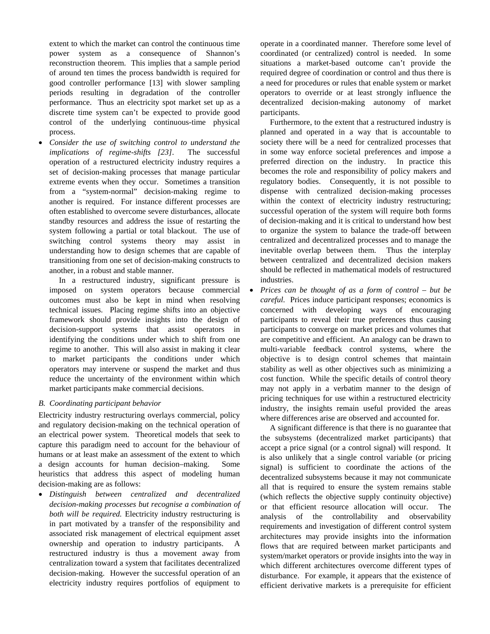extent to which the market can control the continuous time power system as a consequence of Shannon's reconstruction theorem. This implies that a sample period of around ten times the process bandwidth is required for good controller performance [13] with slower sampling periods resulting in degradation of the controller performance. Thus an electricity spot market set up as a discrete time system can't be expected to provide good control of the underlying continuous-time physical process.

• *Consider the use of switching control to understand the implications of regime-shifts [23]*. The successful operation of a restructured electricity industry requires a set of decision-making processes that manage particular extreme events when they occur. Sometimes a transition from a "system-normal" decision-making regime to another is required. For instance different processes are often established to overcome severe disturbances, allocate standby resources and address the issue of restarting the system following a partial or total blackout. The use of switching control systems theory may assist in understanding how to design schemes that are capable of transitioning from one set of decision-making constructs to another, in a robust and stable manner.

In a restructured industry, significant pressure is imposed on system operators because commercial outcomes must also be kept in mind when resolving technical issues. Placing regime shifts into an objective framework should provide insights into the design of decision-support systems that assist operators in identifying the conditions under which to shift from one regime to another. This will also assist in making it clear to market participants the conditions under which operators may intervene or suspend the market and thus reduce the uncertainty of the environment within which market participants make commercial decisions.

# *B. Coordinating participant behavior*

Electricity industry restructuring overlays commercial, policy and regulatory decision-making on the technical operation of an electrical power system. Theoretical models that seek to capture this paradigm need to account for the behaviour of humans or at least make an assessment of the extent to which a design accounts for human decision–making. Some heuristics that address this aspect of modeling human decision-making are as follows:

• *Distinguish between centralized and decentralized decision-making processes but recognise a combination of both will be required.* Electricity industry restructuring is in part motivated by a transfer of the responsibility and associated risk management of electrical equipment asset ownership and operation to industry participants. A restructured industry is thus a movement away from centralization toward a system that facilitates decentralized decision-making. However the successful operation of an electricity industry requires portfolios of equipment to

operate in a coordinated manner. Therefore some level of coordinated (or centralized) control is needed. In some situations a market-based outcome can't provide the required degree of coordination or control and thus there is a need for procedures or rules that enable system or market operators to override or at least strongly influence the decentralized decision-making autonomy of market participants.

Furthermore, to the extent that a restructured industry is planned and operated in a way that is accountable to society there will be a need for centralized processes that in some way enforce societal preferences and impose a preferred direction on the industry. In practice this becomes the role and responsibility of policy makers and regulatory bodies. Consequently, it is not possible to dispense with centralized decision-making processes within the context of electricity industry restructuring; successful operation of the system will require both forms of decision-making and it is critical to understand how best to organize the system to balance the trade-off between centralized and decentralized processes and to manage the inevitable overlap between them. Thus the interplay between centralized and decentralized decision makers should be reflected in mathematical models of restructured industries.

• *Prices can be thought of as a form of control – but be careful*. Prices induce participant responses; economics is concerned with developing ways of encouraging participants to reveal their true preferences thus causing participants to converge on market prices and volumes that are competitive and efficient. An analogy can be drawn to multi-variable feedback control systems, where the objective is to design control schemes that maintain stability as well as other objectives such as minimizing a cost function. While the specific details of control theory may not apply in a verbatim manner to the design of pricing techniques for use within a restructured electricity industry, the insights remain useful provided the areas where differences arise are observed and accounted for.

A significant difference is that there is no guarantee that the subsystems (decentralized market participants) that accept a price signal (or a control signal) will respond. It is also unlikely that a single control variable (or pricing signal) is sufficient to coordinate the actions of the decentralized subsystems because it may not communicate all that is required to ensure the system remains stable (which reflects the objective supply continuity objective) or that efficient resource allocation will occur. The analysis of the controllability and observability requirements and investigation of different control system architectures may provide insights into the information flows that are required between market participants and system/market operators or provide insights into the way in which different architectures overcome different types of disturbance. For example, it appears that the existence of efficient derivative markets is a prerequisite for efficient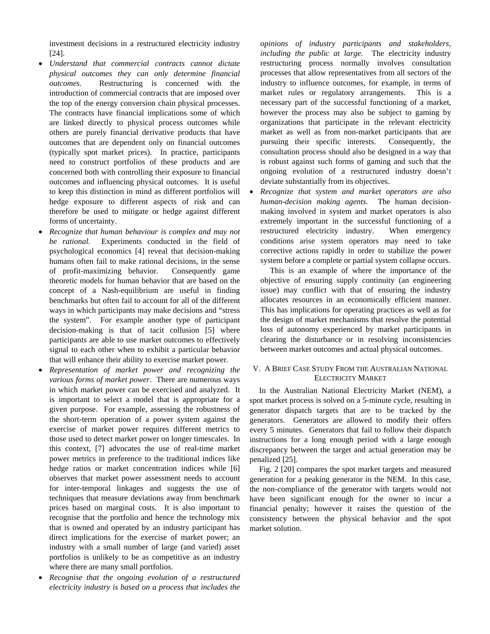investment decisions in a restructured electricity industry [24].

- *Understand that commercial contracts cannot dictate physical outcomes they can only determine financial outcomes.* Restructuring is concerned with the introduction of commercial contracts that are imposed over the top of the energy conversion chain physical processes. The contracts have financial implications some of which are linked directly to physical process outcomes while others are purely financial derivative products that have outcomes that are dependent only on financial outcomes (typically spot market prices). In practice, participants need to construct portfolios of these products and are concerned both with controlling their exposure to financial outcomes and influencing physical outcomes. It is useful to keep this distinction in mind as different portfolios will hedge exposure to different aspects of risk and can therefore be used to mitigate or hedge against different forms of uncertainty.
- *Recognize that human behaviour is complex and may not be rational.* Experiments conducted in the field of psychological economics [4] reveal that decision-making humans often fail to make rational decisions, in the sense of profit-maximizing behavior. Consequently game theoretic models for human behavior that are based on the concept of a Nash-equilibrium are useful in finding benchmarks but often fail to account for all of the different ways in which participants may make decisions and "stress the system". For example another type of participant decision-making is that of tacit collusion [5] where participants are able to use market outcomes to effectively signal to each other when to exhibit a particular behavior that will enhance their ability to exercise market power.
- *Representation of market power and recognizing the various forms of market power*. There are numerous ways in which market power can be exercised and analyzed. It is important to select a model that is appropriate for a given purpose. For example, assessing the robustness of the short-term operation of a power system against the exercise of market power requires different metrics to those used to detect market power on longer timescales. In this context, [7] advocates the use of real-time market power metrics in preference to the traditional indices like hedge ratios or market concentration indices while [6] observes that market power assessment needs to account for inter-temporal linkages and suggests the use of techniques that measure deviations away from benchmark prices based on marginal costs. It is also important to recognise that the portfolio and hence the technology mix that is owned and operated by an industry participant has direct implications for the exercise of market power; an industry with a small number of large (and varied) asset portfolios is unlikely to be as competitive as an industry where there are many small portfolios.
- *Recognise that the ongoing evolution of a restructured electricity industry is based on a process that includes the*

*opinions of industry participants and stakeholders, including the public at large.* The electricity industry restructuring process normally involves consultation processes that allow representatives from all sectors of the industry to influence outcomes, for example, in terms of market rules or regulatory arrangements. This is a necessary part of the successful functioning of a market, however the process may also be subject to gaming by organizations that participate in the relevant electricity market as well as from non-market participants that are pursuing their specific interests. Consequently, the consultation process should also be designed in a way that is robust against such forms of gaming and such that the ongoing evolution of a restructured industry doesn't deviate substantially from its objectives.

• *Recognize that system and market operators are also human-decision making agents.* The human decisionmaking involved in system and market operators is also extremely important in the successful functioning of a restructured electricity industry. When emergency conditions arise system operators may need to take corrective actions rapidly in order to stabilize the power system before a complete or partial system collapse occurs.

This is an example of where the importance of the objective of ensuring supply continuity (an engineering issue) may conflict with that of ensuring the industry allocates resources in an economically efficient manner. This has implications for operating practices as well as for the design of market mechanisms that resolve the potential loss of autonomy experienced by market participants in clearing the disturbance or in resolving inconsistencies between market outcomes and actual physical outcomes.

# V. A BRIEF CASE STUDY FROM THE AUSTRALIAN NATIONAL ELECTRICITY MARKET

In the Australian National Electricity Market (NEM), a spot market process is solved on a 5-minute cycle, resulting in generator dispatch targets that are to be tracked by the generators. Generators are allowed to modify their offers every 5 minutes. Generators that fail to follow their dispatch instructions for a long enough period with a large enough discrepancy between the target and actual generation may be penalized [25].

Fig. 2 [20] compares the spot market targets and measured generation for a peaking generator in the NEM. In this case, the non-compliance of the generator with targets would not have been significant enough for the owner to incur a financial penalty; however it raises the question of the consistency between the physical behavior and the spot market solution.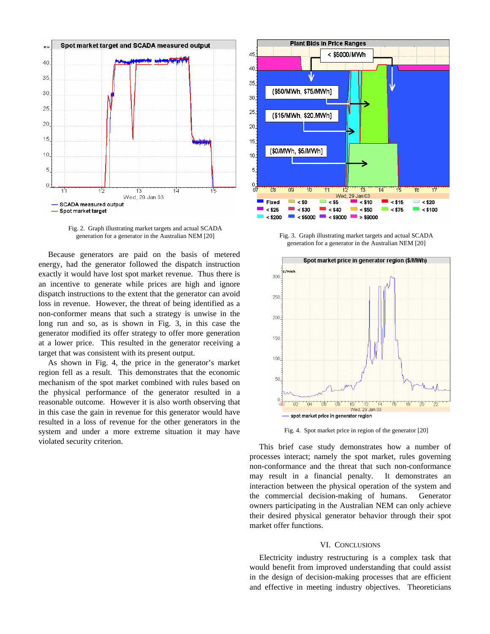

Fig. 2. Graph illustrating market targets and actual SCADA generation for a generator in the Australian NEM [20]

Because generators are paid on the basis of metered energy, had the generator followed the dispatch instruction exactly it would have lost spot market revenue. Thus there is an incentive to generate while prices are high and ignore dispatch instructions to the extent that the generator can avoid loss in revenue. However, the threat of being identified as a non-conformer means that such a strategy is unwise in the long run and so, as is shown in Fig. 3, in this case the generator modified its offer strategy to offer more generation at a lower price. This resulted in the generator receiving a target that was consistent with its present output.

As shown in Fig. 4, the price in the generator's market region fell as a result. This demonstrates that the economic mechanism of the spot market combined with rules based on the physical performance of the generator resulted in a reasonable outcome. However it is also worth observing that in this case the gain in revenue for this generator would have resulted in a loss of revenue for the other generators in the system and under a more extreme situation it may have violated security criterion.



Fig. 3. Graph illustrating market targets and actual SCADA generation for a generator in the Australian NEM [20]



Fig. 4. Spot market price in region of the generator [20]

This brief case study demonstrates how a number of processes interact; namely the spot market, rules governing non-conformance and the threat that such non-conformance may result in a financial penalty. It demonstrates an interaction between the physical operation of the system and the commercial decision-making of humans. Generator owners participating in the Australian NEM can only achieve their desired physical generator behavior through their spot market offer functions.

#### VI. CONCLUSIONS

Electricity industry restructuring is a complex task that would benefit from improved understanding that could assist in the design of decision-making processes that are efficient and effective in meeting industry objectives. Theoreticians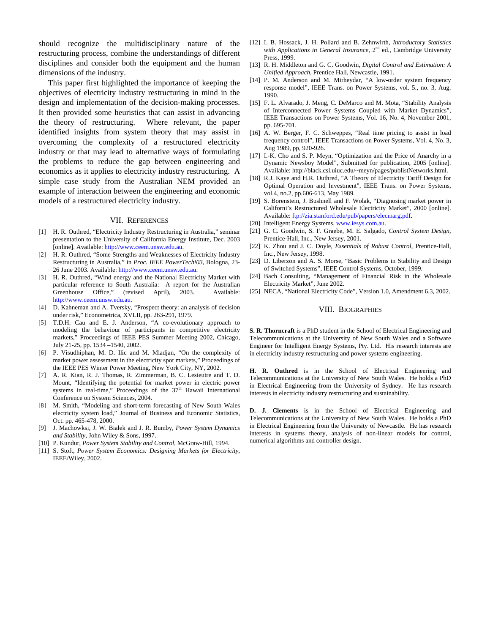should recognize the multidisciplinary nature of the restructuring process, combine the understandings of different disciplines and consider both the equipment and the human dimensions of the industry.

This paper first highlighted the importance of keeping the objectives of electricity industry restructuring in mind in the design and implementation of the decision-making processes. It then provided some heuristics that can assist in advancing the theory of restructuring. Where relevant, the paper identified insights from system theory that may assist in overcoming the complexity of a restructured electricity industry or that may lead to alternative ways of formulating the problems to reduce the gap between engineering and economics as it applies to electricity industry restructuring. A simple case study from the Australian NEM provided an example of interaction between the engineering and economic models of a restructured electricity industry.

#### VII. REFERENCES

- [1] H. R. Outhred, "Electricity Industry Restructuring in Australia," seminar presentation to the University of California Energy Institute, Dec. 2003 [online]. Available: http://www.ceem.unsw.edu.au.
- [2] H. R. Outhred, "Some Strengths and Weaknesses of Electricity Industry Restructuring in Australia," in *Proc. IEEE PowerTech<sup>1</sup>03*, Bologna, 23-26 June 2003. Available: http://www.ceem.unsw.edu.au.
- [3] H. R. Outhred, "Wind energy and the National Electricity Market with particular reference to South Australia: A report for the Australian Greenhouse Office," (revised April), 2003. Available: http://www.ceem.unsw.edu.au.
- [4] D. Kahneman and A. Tversky, "Prospect theory: an analysis of decision under risk," Econometrica, XVLII, pp. 263-291, 1979.
- [5] T.D.H. Cau and E. J. Anderson, "A co-evolutionary approach to modeling the behaviour of participants in competitive electricity markets," Proceedings of IEEE PES Summer Meeting 2002, Chicago, July 21-25, pp. 1534 –1540, 2002.
- [6] P. Visudhiphan, M. D. Ilic and M. Mladjan, "On the complexity of market power assessment in the electricity spot markets," Proceedings of the IEEE PES Winter Power Meeting, New York City, NY, 2002.
- [7] A. R. Kian, R. J. Thomas, R. Zimmerman, B. C. Lesieutre and T. D. Mount, "Identifying the potential for market power in electric power systems in real-time," Proceedings of the  $37<sup>th</sup>$  Hawaii International Conference on System Sciences, 2004.
- [8] M. Smith, "Modeling and short-term forecasting of New South Wales electricity system load," Journal of Business and Economic Statistics, Oct. pp. 465-478, 2000.
- [9] J. Machowksi, J. W. Bialek and J. R. Bumby, *Power System Dynamics and Stability,* John Wiley & Sons, 1997.
- [10] P. Kundur, *Power System Stability and Control*, McGraw-Hill, 1994.
- [11] S. Stoft, *Power System Economics: Designing Markets for Electricity*, IEEE/Wiley, 2002.
- [12] I. B. Hossack, J. H. Pollard and B. Zehnwirth, *Introductory Statistics*  with Applications in General Insurance, 2<sup>nd</sup> ed., Cambridge University Press, 1999.
- [13] R. H. Middleton and G. C. Goodwin, *Digital Control and Estimation: A Unified Approach*, Prentice Hall, Newcastle, 1991.
- [14] P. M. Anderson and M. Mirheydar, "A low-order system frequency response model", IEEE Trans. on Power Systems, vol. 5., no. 3, Aug. 1990.
- [15] F. L. Alvarado, J. Meng, C. DeMarco and M. Mota, "Stability Analysis of Interconnected Power Systems Coupled with Market Dynamics", IEEE Transactions on Power Systems, Vol. 16, No. 4, November 2001, pp. 695-701.
- [16] A. W. Berger, F. C. Schweppes, "Real time pricing to assist in load frequency control", IEEE Transactions on Power Systems, Vol. 4, No. 3, Aug 1989, pp, 920-926.
- [17] I.-K. Cho and S. P. Meyn, "Optimization and the Price of Anarchy in a Dynamic Newsboy Model", Submitted for publication, 2005 [online]. Available: http://black.csl.uiuc.edu/~meyn/pages/publistNetworks.html.
- [18] R.J. Kaye and H.R. Outhred, "A Theory of Electricity Tariff Design for Optimal Operation and Investment", IEEE Trans. on Power Systems, vol.4, no.2, pp.606-613, May 1989.
- [19] S. Borenstein, J. Bushnell and F. Wolak, "Diagnosing market power in Californi's Restructured Wholesale Electricity Market", 2000 [online]. Available: ftp://zia.stanford.edu/pub/papers/elecmarg.pdf.
- [20] Intelligent Energy Systems, www.iesys.com.au.
- [21] G. C. Goodwin, S. F. Graebe, M. E. Salgado, *Control System Design*, Prentice-Hall, Inc., New Jersey, 2001.
- [22] K. Zhou and J. C. Doyle, *Essentials of Robust Control*, Prentice-Hall, Inc., New Jersey, 1998.
- [23] D. Liberzon and A. S. Morse, "Basic Problems in Stability and Design of Switched Systems", IEEE Control Systems, October, 1999.
- [24] Bach Consulting, "Management of Financial Risk in the Wholesale Electricity Market", June 2002.
- [25] NECA, "National Electricity Code", Version 1.0, Amendment 6.3, 2002.

#### VIII. BIOGRAPHIES

**S. R. Thorncraft** is a PhD student in the School of Electrical Engineering and Telecommunications at the University of New South Wales and a Software Engineer for Intelligent Energy Systems, Pty. Ltd. His research interests are in electricity industry restructuring and power systems engineering.

**H. R. Outhred** is in the School of Electrical Engineering and Telecommunications at the University of New South Wales. He holds a PhD in Electrical Engineering from the University of Sydney. He has research interests in electricity industry restructuring and sustainability.

**D. J. Clements** is in the School of Electrical Engineering and Telecommunications at the University of New South Wales. He holds a PhD in Electrical Engineering from the University of Newcastle. He has research interests in systems theory, analysis of non-linear models for control, numerical algorithms and controller design.